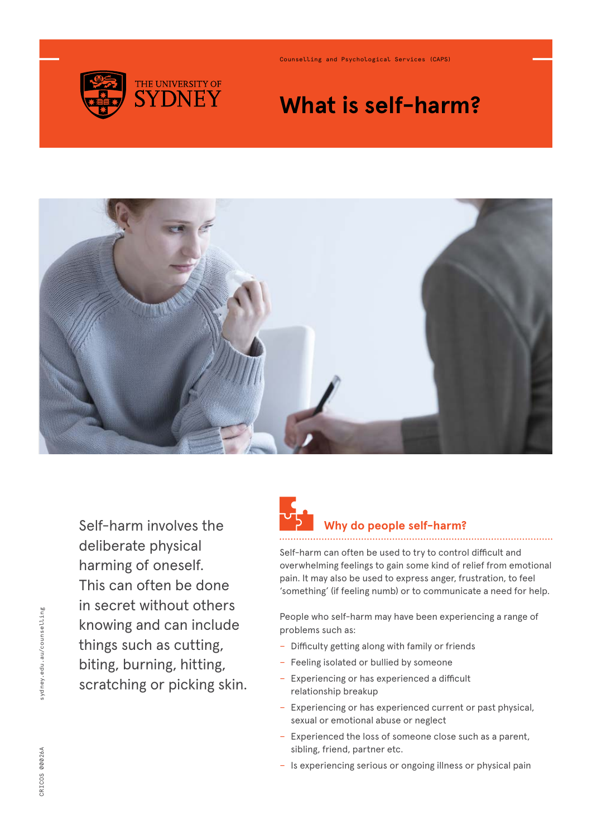

Counselling and Psychological Services (CAPS)

## **What is self-harm?**



Self-harm involves the deliberate physical harming of oneself. This can often be done in secret without others knowing and can include things such as cutting, biting, burning, hitting, scratching or picking skin.



### **Why do people self-harm?**

Self-harm can often be used to try to control difficult and overwhelming feelings to gain some kind of relief from emotional pain. It may also be used to express anger, frustration, to feel 'something' (if feeling numb) or to communicate a need for help.

People who self-harm may have been experiencing a range of problems such as:

- − Difficulty getting along with family or friends
- − Feeling isolated or bullied by someone
- − Experiencing or has experienced a difficult relationship breakup
- − Experiencing or has experienced current or past physical, sexual or emotional abuse or neglect
- − Experienced the loss of someone close such as a parent, sibling, friend, partner etc.
- − Is experiencing serious or ongoing illness or physical pain